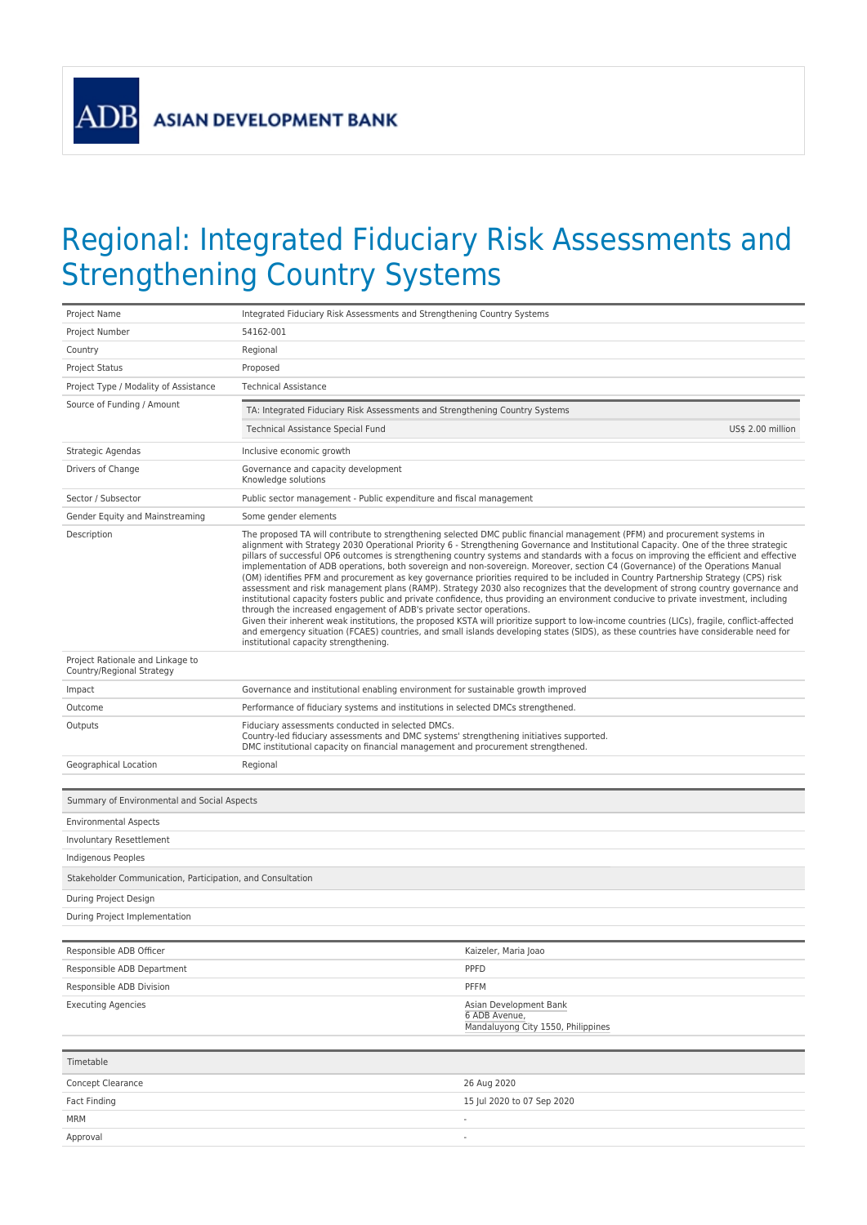**ADB** 

## Regional: Integrated Fiduciary Risk Assessments and Strengthening Country Systems

| Project Name                                                  | Integrated Fiduciary Risk Assessments and Strengthening Country Systems                                                                                                                                                                                                                                                                                                                                                                                                                                                                                                                                                                                                                                                                                                                                                                                                                                                                                                                                                                                                                                                                                                                                                                                                                                                                                                        |                                                                               |  |
|---------------------------------------------------------------|--------------------------------------------------------------------------------------------------------------------------------------------------------------------------------------------------------------------------------------------------------------------------------------------------------------------------------------------------------------------------------------------------------------------------------------------------------------------------------------------------------------------------------------------------------------------------------------------------------------------------------------------------------------------------------------------------------------------------------------------------------------------------------------------------------------------------------------------------------------------------------------------------------------------------------------------------------------------------------------------------------------------------------------------------------------------------------------------------------------------------------------------------------------------------------------------------------------------------------------------------------------------------------------------------------------------------------------------------------------------------------|-------------------------------------------------------------------------------|--|
| Project Number                                                | 54162-001                                                                                                                                                                                                                                                                                                                                                                                                                                                                                                                                                                                                                                                                                                                                                                                                                                                                                                                                                                                                                                                                                                                                                                                                                                                                                                                                                                      |                                                                               |  |
| Country                                                       | Regional                                                                                                                                                                                                                                                                                                                                                                                                                                                                                                                                                                                                                                                                                                                                                                                                                                                                                                                                                                                                                                                                                                                                                                                                                                                                                                                                                                       |                                                                               |  |
| <b>Project Status</b>                                         | Proposed                                                                                                                                                                                                                                                                                                                                                                                                                                                                                                                                                                                                                                                                                                                                                                                                                                                                                                                                                                                                                                                                                                                                                                                                                                                                                                                                                                       |                                                                               |  |
| Project Type / Modality of Assistance                         | <b>Technical Assistance</b>                                                                                                                                                                                                                                                                                                                                                                                                                                                                                                                                                                                                                                                                                                                                                                                                                                                                                                                                                                                                                                                                                                                                                                                                                                                                                                                                                    |                                                                               |  |
| Source of Funding / Amount                                    | TA: Integrated Fiduciary Risk Assessments and Strengthening Country Systems                                                                                                                                                                                                                                                                                                                                                                                                                                                                                                                                                                                                                                                                                                                                                                                                                                                                                                                                                                                                                                                                                                                                                                                                                                                                                                    |                                                                               |  |
|                                                               | Technical Assistance Special Fund                                                                                                                                                                                                                                                                                                                                                                                                                                                                                                                                                                                                                                                                                                                                                                                                                                                                                                                                                                                                                                                                                                                                                                                                                                                                                                                                              | US\$ 2.00 million                                                             |  |
| Strategic Agendas                                             | Inclusive economic growth                                                                                                                                                                                                                                                                                                                                                                                                                                                                                                                                                                                                                                                                                                                                                                                                                                                                                                                                                                                                                                                                                                                                                                                                                                                                                                                                                      |                                                                               |  |
| Drivers of Change                                             | Governance and capacity development<br>Knowledge solutions                                                                                                                                                                                                                                                                                                                                                                                                                                                                                                                                                                                                                                                                                                                                                                                                                                                                                                                                                                                                                                                                                                                                                                                                                                                                                                                     |                                                                               |  |
| Sector / Subsector                                            | Public sector management - Public expenditure and fiscal management                                                                                                                                                                                                                                                                                                                                                                                                                                                                                                                                                                                                                                                                                                                                                                                                                                                                                                                                                                                                                                                                                                                                                                                                                                                                                                            |                                                                               |  |
| Gender Equity and Mainstreaming                               | Some gender elements                                                                                                                                                                                                                                                                                                                                                                                                                                                                                                                                                                                                                                                                                                                                                                                                                                                                                                                                                                                                                                                                                                                                                                                                                                                                                                                                                           |                                                                               |  |
| Description                                                   | The proposed TA will contribute to strengthening selected DMC public financial management (PFM) and procurement systems in<br>alignment with Strategy 2030 Operational Priority 6 - Strengthening Governance and Institutional Capacity. One of the three strategic<br>pillars of successful OP6 outcomes is strengthening country systems and standards with a focus on improving the efficient and effective<br>implementation of ADB operations, both sovereign and non-sovereign. Moreover, section C4 (Governance) of the Operations Manual<br>(OM) identifies PFM and procurement as key governance priorities required to be included in Country Partnership Strategy (CPS) risk<br>assessment and risk management plans (RAMP). Strategy 2030 also recognizes that the development of strong country governance and<br>institutional capacity fosters public and private confidence, thus providing an environment conducive to private investment, including<br>through the increased engagement of ADB's private sector operations.<br>Given their inherent weak institutions, the proposed KSTA will prioritize support to low-income countries (LICs), fragile, conflict-affected<br>and emergency situation (FCAES) countries, and small islands developing states (SIDS), as these countries have considerable need for<br>institutional capacity strengthening. |                                                                               |  |
| Project Rationale and Linkage to<br>Country/Regional Strategy |                                                                                                                                                                                                                                                                                                                                                                                                                                                                                                                                                                                                                                                                                                                                                                                                                                                                                                                                                                                                                                                                                                                                                                                                                                                                                                                                                                                |                                                                               |  |
| Impact                                                        | Governance and institutional enabling environment for sustainable growth improved                                                                                                                                                                                                                                                                                                                                                                                                                                                                                                                                                                                                                                                                                                                                                                                                                                                                                                                                                                                                                                                                                                                                                                                                                                                                                              |                                                                               |  |
| Outcome                                                       | Performance of fiduciary systems and institutions in selected DMCs strengthened.                                                                                                                                                                                                                                                                                                                                                                                                                                                                                                                                                                                                                                                                                                                                                                                                                                                                                                                                                                                                                                                                                                                                                                                                                                                                                               |                                                                               |  |
| Outputs                                                       | Fiduciary assessments conducted in selected DMCs.<br>Country-led fiduciary assessments and DMC systems' strengthening initiatives supported.<br>DMC institutional capacity on financial management and procurement strengthened.                                                                                                                                                                                                                                                                                                                                                                                                                                                                                                                                                                                                                                                                                                                                                                                                                                                                                                                                                                                                                                                                                                                                               |                                                                               |  |
| Geographical Location                                         | Regional                                                                                                                                                                                                                                                                                                                                                                                                                                                                                                                                                                                                                                                                                                                                                                                                                                                                                                                                                                                                                                                                                                                                                                                                                                                                                                                                                                       |                                                                               |  |
|                                                               |                                                                                                                                                                                                                                                                                                                                                                                                                                                                                                                                                                                                                                                                                                                                                                                                                                                                                                                                                                                                                                                                                                                                                                                                                                                                                                                                                                                |                                                                               |  |
| Summary of Environmental and Social Aspects                   |                                                                                                                                                                                                                                                                                                                                                                                                                                                                                                                                                                                                                                                                                                                                                                                                                                                                                                                                                                                                                                                                                                                                                                                                                                                                                                                                                                                |                                                                               |  |
| <b>Environmental Aspects</b>                                  |                                                                                                                                                                                                                                                                                                                                                                                                                                                                                                                                                                                                                                                                                                                                                                                                                                                                                                                                                                                                                                                                                                                                                                                                                                                                                                                                                                                |                                                                               |  |
| <b>Involuntary Resettlement</b>                               |                                                                                                                                                                                                                                                                                                                                                                                                                                                                                                                                                                                                                                                                                                                                                                                                                                                                                                                                                                                                                                                                                                                                                                                                                                                                                                                                                                                |                                                                               |  |
| Indigenous Peoples                                            |                                                                                                                                                                                                                                                                                                                                                                                                                                                                                                                                                                                                                                                                                                                                                                                                                                                                                                                                                                                                                                                                                                                                                                                                                                                                                                                                                                                |                                                                               |  |
| Stakeholder Communication, Participation, and Consultation    |                                                                                                                                                                                                                                                                                                                                                                                                                                                                                                                                                                                                                                                                                                                                                                                                                                                                                                                                                                                                                                                                                                                                                                                                                                                                                                                                                                                |                                                                               |  |
| During Project Design                                         |                                                                                                                                                                                                                                                                                                                                                                                                                                                                                                                                                                                                                                                                                                                                                                                                                                                                                                                                                                                                                                                                                                                                                                                                                                                                                                                                                                                |                                                                               |  |
| During Project Implementation                                 |                                                                                                                                                                                                                                                                                                                                                                                                                                                                                                                                                                                                                                                                                                                                                                                                                                                                                                                                                                                                                                                                                                                                                                                                                                                                                                                                                                                |                                                                               |  |
| Responsible ADB Officer                                       |                                                                                                                                                                                                                                                                                                                                                                                                                                                                                                                                                                                                                                                                                                                                                                                                                                                                                                                                                                                                                                                                                                                                                                                                                                                                                                                                                                                | Kaizeler, Maria Joao                                                          |  |
| Responsible ADB Department                                    |                                                                                                                                                                                                                                                                                                                                                                                                                                                                                                                                                                                                                                                                                                                                                                                                                                                                                                                                                                                                                                                                                                                                                                                                                                                                                                                                                                                | PPFD                                                                          |  |
| Responsible ADB Division                                      |                                                                                                                                                                                                                                                                                                                                                                                                                                                                                                                                                                                                                                                                                                                                                                                                                                                                                                                                                                                                                                                                                                                                                                                                                                                                                                                                                                                | PFFM                                                                          |  |
| <b>Executing Agencies</b>                                     |                                                                                                                                                                                                                                                                                                                                                                                                                                                                                                                                                                                                                                                                                                                                                                                                                                                                                                                                                                                                                                                                                                                                                                                                                                                                                                                                                                                | Asian Development Bank<br>6 ADB Avenue,<br>Mandaluyong City 1550, Philippines |  |
|                                                               |                                                                                                                                                                                                                                                                                                                                                                                                                                                                                                                                                                                                                                                                                                                                                                                                                                                                                                                                                                                                                                                                                                                                                                                                                                                                                                                                                                                |                                                                               |  |
| Timetable                                                     |                                                                                                                                                                                                                                                                                                                                                                                                                                                                                                                                                                                                                                                                                                                                                                                                                                                                                                                                                                                                                                                                                                                                                                                                                                                                                                                                                                                |                                                                               |  |
| Concept Clearance                                             |                                                                                                                                                                                                                                                                                                                                                                                                                                                                                                                                                                                                                                                                                                                                                                                                                                                                                                                                                                                                                                                                                                                                                                                                                                                                                                                                                                                | 26 Aug 2020                                                                   |  |
| Fact Finding                                                  |                                                                                                                                                                                                                                                                                                                                                                                                                                                                                                                                                                                                                                                                                                                                                                                                                                                                                                                                                                                                                                                                                                                                                                                                                                                                                                                                                                                | 15 Jul 2020 to 07 Sep 2020                                                    |  |
| <b>MRM</b>                                                    |                                                                                                                                                                                                                                                                                                                                                                                                                                                                                                                                                                                                                                                                                                                                                                                                                                                                                                                                                                                                                                                                                                                                                                                                                                                                                                                                                                                | $\overline{a}$                                                                |  |
| Approval                                                      |                                                                                                                                                                                                                                                                                                                                                                                                                                                                                                                                                                                                                                                                                                                                                                                                                                                                                                                                                                                                                                                                                                                                                                                                                                                                                                                                                                                | ÷,                                                                            |  |